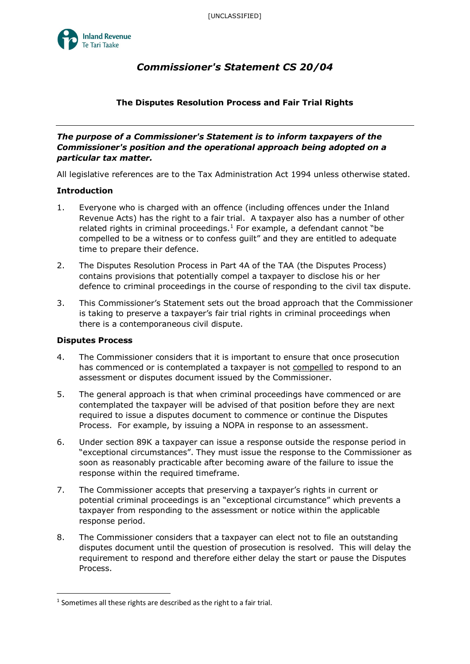

# *Commissioner's Statement CS 20/04*

## **The Disputes Resolution Process and Fair Trial Rights**

*The purpose of a Commissioner's Statement is to inform taxpayers of the Commissioner's position and the operational approach being adopted on a particular tax matter.* 

All legislative references are to the Tax Administration Act 1994 unless otherwise stated.

#### **Introduction**

- 1. Everyone who is charged with an offence (including offences under the Inland Revenue Acts) has the right to a fair trial. A taxpayer also has a number of other related rights in criminal proceedings.<sup>[1](#page-0-0)</sup> For example, a defendant cannot "be compelled to be a witness or to confess guilt" and they are entitled to adequate time to prepare their defence.
- 2. The Disputes Resolution Process in Part 4A of the TAA (the Disputes Process) contains provisions that potentially compel a taxpayer to disclose his or her defence to criminal proceedings in the course of responding to the civil tax dispute.
- 3. This Commissioner's Statement sets out the broad approach that the Commissioner is taking to preserve a taxpayer's fair trial rights in criminal proceedings when there is a contemporaneous civil dispute.

#### **Disputes Process**

- 4. The Commissioner considers that it is important to ensure that once prosecution has commenced or is contemplated a taxpayer is not compelled to respond to an assessment or disputes document issued by the Commissioner.
- 5. The general approach is that when criminal proceedings have commenced or are contemplated the taxpayer will be advised of that position before they are next required to issue a disputes document to commence or continue the Disputes Process. For example, by issuing a NOPA in response to an assessment.
- 6. Under section 89K a taxpayer can issue a response outside the response period in "exceptional circumstances". They must issue the response to the Commissioner as soon as reasonably practicable after becoming aware of the failure to issue the response within the required timeframe.
- 7. The Commissioner accepts that preserving a taxpayer's rights in current or potential criminal proceedings is an "exceptional circumstance" which prevents a taxpayer from responding to the assessment or notice within the applicable response period.
- 8. The Commissioner considers that a taxpayer can elect not to file an outstanding disputes document until the question of prosecution is resolved. This will delay the requirement to respond and therefore either delay the start or pause the Disputes Process.

<span id="page-0-0"></span> $1$  Sometimes all these rights are described as the right to a fair trial.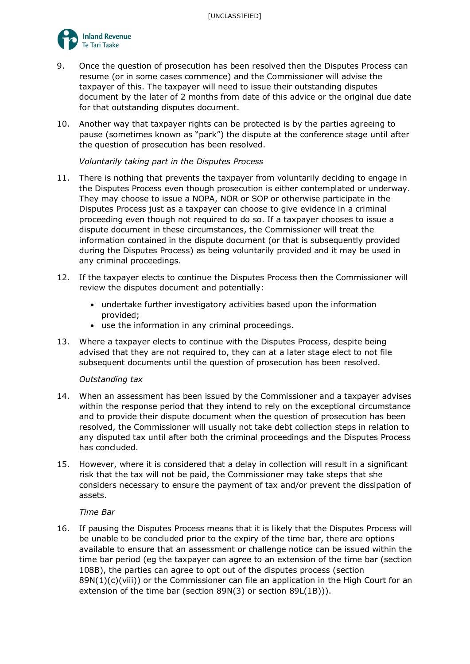

- 9. Once the question of prosecution has been resolved then the Disputes Process can resume (or in some cases commence) and the Commissioner will advise the taxpayer of this. The taxpayer will need to issue their outstanding disputes document by the later of 2 months from date of this advice or the original due date for that outstanding disputes document.
- 10. Another way that taxpayer rights can be protected is by the parties agreeing to pause (sometimes known as "park") the dispute at the conference stage until after the question of prosecution has been resolved.

*Voluntarily taking part in the Disputes Process*

- 11. There is nothing that prevents the taxpayer from voluntarily deciding to engage in the Disputes Process even though prosecution is either contemplated or underway. They may choose to issue a NOPA, NOR or SOP or otherwise participate in the Disputes Process just as a taxpayer can choose to give evidence in a criminal proceeding even though not required to do so. If a taxpayer chooses to issue a dispute document in these circumstances, the Commissioner will treat the information contained in the dispute document (or that is subsequently provided during the Disputes Process) as being voluntarily provided and it may be used in any criminal proceedings.
- 12. If the taxpayer elects to continue the Disputes Process then the Commissioner will review the disputes document and potentially:
	- undertake further investigatory activities based upon the information provided;
	- use the information in any criminal proceedings.
- 13. Where a taxpayer elects to continue with the Disputes Process, despite being advised that they are not required to, they can at a later stage elect to not file subsequent documents until the question of prosecution has been resolved.

### *Outstanding tax*

- 14. When an assessment has been issued by the Commissioner and a taxpayer advises within the response period that they intend to rely on the exceptional circumstance and to provide their dispute document when the question of prosecution has been resolved, the Commissioner will usually not take debt collection steps in relation to any disputed tax until after both the criminal proceedings and the Disputes Process has concluded.
- 15. However, where it is considered that a delay in collection will result in a significant risk that the tax will not be paid, the Commissioner may take steps that she considers necessary to ensure the payment of tax and/or prevent the dissipation of assets.

#### *Time Bar*

16. If pausing the Disputes Process means that it is likely that the Disputes Process will be unable to be concluded prior to the expiry of the time bar, there are options available to ensure that an assessment or challenge notice can be issued within the time bar period (eg the taxpayer can agree to an extension of the time bar (section 108B), the parties can agree to opt out of the disputes process (section  $89N(1)(c)(viii)$ ) or the Commissioner can file an application in the High Court for an extension of the time bar (section 89N(3) or section 89L(1B))).